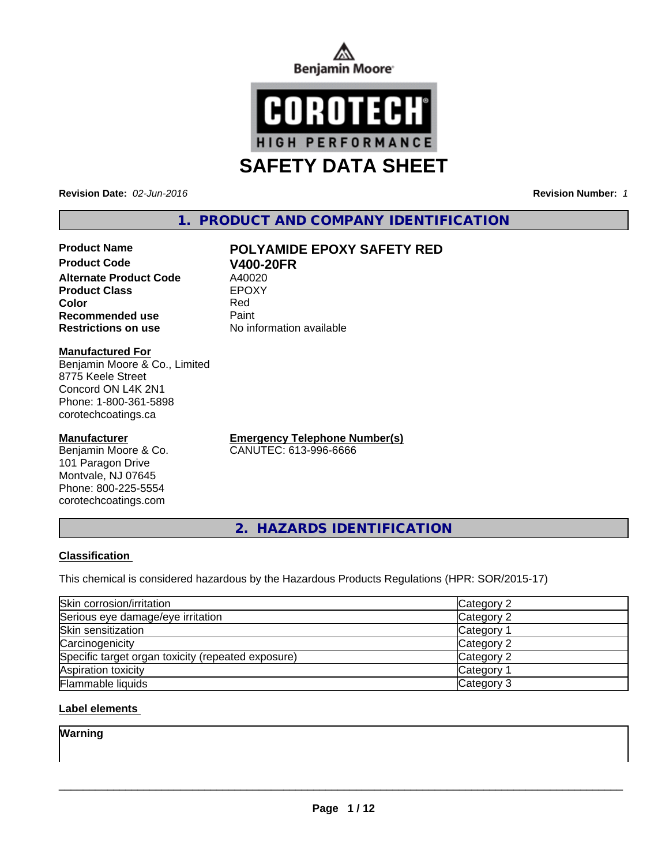



**Revision Date:** *02-Jun-2016* **Revision Number:** *1*

# **1. PRODUCT AND COMPANY IDENTIFICATION**

# **Product Name POLYAMIDE EPOXY SAFETY RED**

**Product Code V400-20FR Alternate Product Code** A40020<br> **Product Class** EPOXY **Product Class Recommended use Paint Restrictions on use** No information available

**Color** Red

#### **Manufactured For**

Benjamin Moore & Co., Limited 8775 Keele Street Concord ON L4K 2N1 Phone: 1-800-361-5898 corotechcoatings.ca

#### **Manufacturer**

Benjamin Moore & Co. 101 Paragon Drive Montvale, NJ 07645 Phone: 800-225-5554 corotechcoatings.com

**Emergency Telephone Number(s)** CANUTEC: 613-996-6666

**2. HAZARDS IDENTIFICATION**

#### **Classification**

This chemical is considered hazardous by the Hazardous Products Regulations (HPR: SOR/2015-17)

| Skin corrosion/irritation                          | Category 2            |
|----------------------------------------------------|-----------------------|
| Serious eye damage/eye irritation                  | Category 2            |
| Skin sensitization                                 | Category <sup>2</sup> |
| Carcinogenicity                                    | Category 2            |
| Specific target organ toxicity (repeated exposure) | Category 2            |
| Aspiration toxicity                                | <b>Category 1</b>     |
| Flammable liquids                                  | Category 3            |

#### **Label elements**

**Warning**

 $\overline{\phantom{a}}$  ,  $\overline{\phantom{a}}$  ,  $\overline{\phantom{a}}$  ,  $\overline{\phantom{a}}$  ,  $\overline{\phantom{a}}$  ,  $\overline{\phantom{a}}$  ,  $\overline{\phantom{a}}$  ,  $\overline{\phantom{a}}$  ,  $\overline{\phantom{a}}$  ,  $\overline{\phantom{a}}$  ,  $\overline{\phantom{a}}$  ,  $\overline{\phantom{a}}$  ,  $\overline{\phantom{a}}$  ,  $\overline{\phantom{a}}$  ,  $\overline{\phantom{a}}$  ,  $\overline{\phantom{a}}$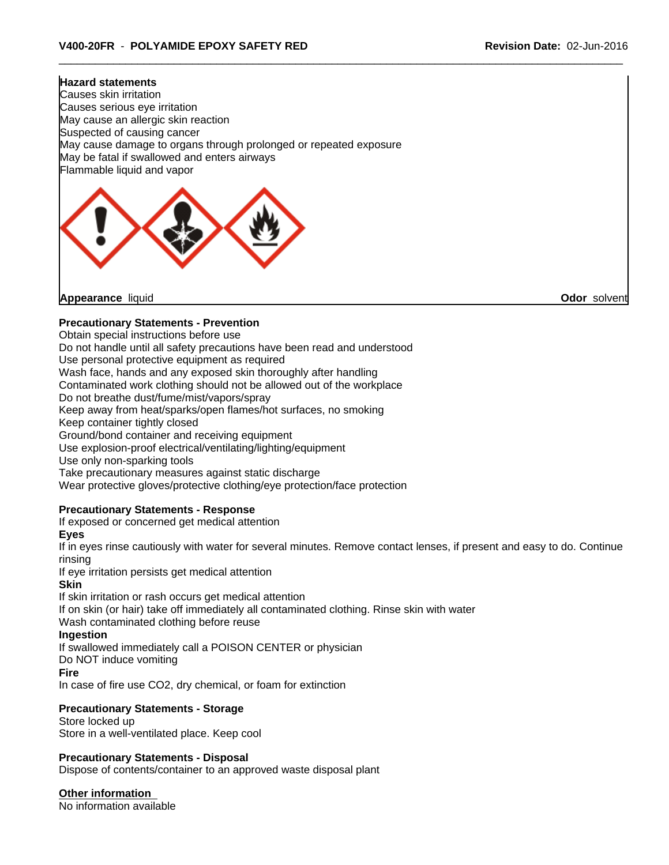#### **Hazard statements**

Causes skin irritation Causes serious eye irritation May cause an allergic skin reaction Suspected of causing cancer May cause damage to organs through prolonged or repeated exposure May be fatal if swallowed and enters airways Flammable liquid and vapor



**Appearance** liquid **Odor** solvent

#### **Precautionary Statements - Prevention**

Obtain special instructions before use

Do not handle until all safety precautions have been read and understood

Use personal protective equipment as required

Wash face, hands and any exposed skin thoroughly after handling

Contaminated work clothing should not be allowed out of the workplace

Do not breathe dust/fume/mist/vapors/spray

Keep away from heat/sparks/open flames/hot surfaces, no smoking

Keep container tightly closed

Ground/bond container and receiving equipment

Use explosion-proof electrical/ventilating/lighting/equipment

Use only non-sparking tools

Take precautionary measures against static discharge

Wear protective gloves/protective clothing/eye protection/face protection

#### **Precautionary Statements - Response**

If exposed or concerned get medical attention

**Eyes**

If in eyes rinse cautiously with water for several minutes. Remove contact lenses, if present and easy to do. Continue rinsing

If eye irritation persists get medical attention

#### **Skin**

If skin irritation or rash occurs get medical attention If on skin (or hair) take off immediately all contaminated clothing. Rinse skin with water Wash contaminated clothing before reuse

### **Ingestion**

If swallowed immediately call a POISON CENTER or physician

Do NOT induce vomiting

#### **Fire**

In case of fire use CO2, dry chemical, or foam for extinction

#### **Precautionary Statements - Storage**

Store locked up Store in a well-ventilated place. Keep cool

#### **Precautionary Statements - Disposal**

Dispose of contents/container to an approved waste disposal plant

**Other information**

No information available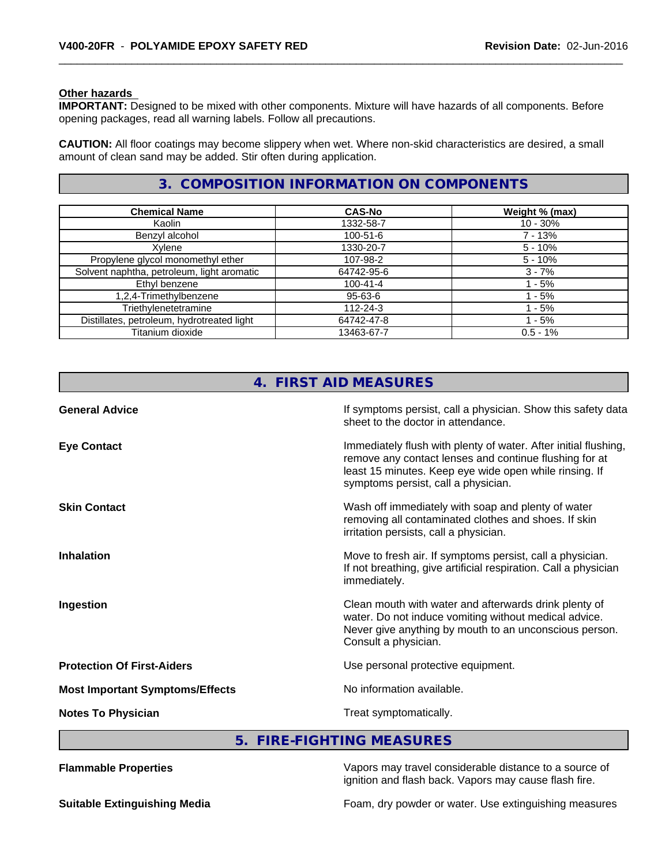#### **Other hazards**

**IMPORTANT:** Designed to be mixed with other components. Mixture will have hazards of all components. Before opening packages, read all warning labels. Follow all precautions.

**CAUTION:** All floor coatings may become slippery when wet. Where non-skid characteristics are desired, a small amount of clean sand may be added. Stir often during application.

# **3. COMPOSITION INFORMATION ON COMPONENTS**

| <b>Chemical Name</b>                       | <b>CAS-No</b>  | Weight % (max) |
|--------------------------------------------|----------------|----------------|
| Kaolin                                     | 1332-58-7      | $10 - 30%$     |
| Benzyl alcohol                             | 100-51-6       | $7 - 13%$      |
| Xylene                                     | 1330-20-7      | $5 - 10%$      |
| Propylene glycol monomethyl ether          | 107-98-2       | $5 - 10%$      |
| Solvent naphtha, petroleum, light aromatic | 64742-95-6     | $3 - 7%$       |
| Ethyl benzene                              | $100 - 41 - 4$ | - 5%           |
| 1,2,4-Trimethylbenzene                     | 95-63-6        | - 5%           |
| Triethylenetetramine                       | $112 - 24 - 3$ | $-5%$          |
| Distillates, petroleum, hydrotreated light | 64742-47-8     | - 5%           |
| Titanium dioxide                           | 13463-67-7     | $0.5 - 1%$     |

|                                        | 4. FIRST AID MEASURES                                                                                                                                                                                                      |
|----------------------------------------|----------------------------------------------------------------------------------------------------------------------------------------------------------------------------------------------------------------------------|
| <b>General Advice</b>                  | If symptoms persist, call a physician. Show this safety data<br>sheet to the doctor in attendance.                                                                                                                         |
| <b>Eye Contact</b>                     | Immediately flush with plenty of water. After initial flushing,<br>remove any contact lenses and continue flushing for at<br>least 15 minutes. Keep eye wide open while rinsing. If<br>symptoms persist, call a physician. |
| <b>Skin Contact</b>                    | Wash off immediately with soap and plenty of water<br>removing all contaminated clothes and shoes. If skin<br>irritation persists, call a physician.                                                                       |
| <b>Inhalation</b>                      | Move to fresh air. If symptoms persist, call a physician.<br>If not breathing, give artificial respiration. Call a physician<br>immediately.                                                                               |
| Ingestion                              | Clean mouth with water and afterwards drink plenty of<br>water. Do not induce vomiting without medical advice.<br>Never give anything by mouth to an unconscious person.<br>Consult a physician.                           |
| <b>Protection Of First-Aiders</b>      | Use personal protective equipment.                                                                                                                                                                                         |
| <b>Most Important Symptoms/Effects</b> | No information available.                                                                                                                                                                                                  |
| <b>Notes To Physician</b>              | Treat symptomatically.                                                                                                                                                                                                     |

**5. FIRE-FIGHTING MEASURES**

**Flammable Properties** Vapors may travel considerable distance to a source of ignition and flash back. Vapors may cause flash fire.

**Suitable Extinguishing Media Foam**, dry powder or water. Use extinguishing measures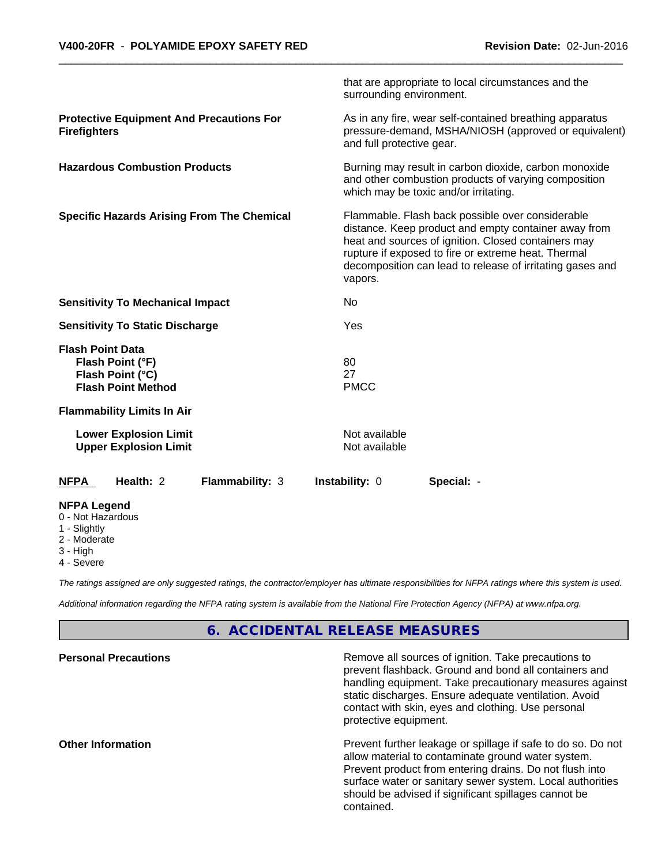|                                                                         |                                                                   |                        | surrounding environment.       | that are appropriate to local circumstances and the                                                                                                                                                                                                                                 |  |  |  |  |
|-------------------------------------------------------------------------|-------------------------------------------------------------------|------------------------|--------------------------------|-------------------------------------------------------------------------------------------------------------------------------------------------------------------------------------------------------------------------------------------------------------------------------------|--|--|--|--|
| <b>Protective Equipment And Precautions For</b><br><b>Firefighters</b>  |                                                                   |                        |                                | As in any fire, wear self-contained breathing apparatus<br>pressure-demand, MSHA/NIOSH (approved or equivalent)<br>and full protective gear.                                                                                                                                        |  |  |  |  |
| <b>Hazardous Combustion Products</b>                                    |                                                                   |                        |                                | Burning may result in carbon dioxide, carbon monoxide<br>and other combustion products of varying composition<br>which may be toxic and/or irritating.                                                                                                                              |  |  |  |  |
| <b>Specific Hazards Arising From The Chemical</b>                       |                                                                   |                        | vapors.                        | Flammable. Flash back possible over considerable<br>distance. Keep product and empty container away from<br>heat and sources of ignition. Closed containers may<br>rupture if exposed to fire or extreme heat. Thermal<br>decomposition can lead to release of irritating gases and |  |  |  |  |
| <b>Sensitivity To Mechanical Impact</b>                                 |                                                                   | No                     |                                |                                                                                                                                                                                                                                                                                     |  |  |  |  |
| <b>Sensitivity To Static Discharge</b>                                  |                                                                   | Yes                    |                                |                                                                                                                                                                                                                                                                                     |  |  |  |  |
| <b>Flash Point Data</b>                                                 | Flash Point (°F)<br>Flash Point (°C)<br><b>Flash Point Method</b> |                        | 80<br>27<br><b>PMCC</b>        |                                                                                                                                                                                                                                                                                     |  |  |  |  |
|                                                                         | <b>Flammability Limits In Air</b>                                 |                        |                                |                                                                                                                                                                                                                                                                                     |  |  |  |  |
|                                                                         | <b>Lower Explosion Limit</b><br><b>Upper Explosion Limit</b>      |                        | Not available<br>Not available |                                                                                                                                                                                                                                                                                     |  |  |  |  |
| <b>NFPA</b>                                                             | Health: 2                                                         | <b>Flammability: 3</b> | Instability: 0                 | Special: -                                                                                                                                                                                                                                                                          |  |  |  |  |
| <b>NFPA Legend</b><br>0 - Not Hazardous<br>1 - Slightly<br>2 - Moderate |                                                                   |                        |                                |                                                                                                                                                                                                                                                                                     |  |  |  |  |

- 
- 3 High
- 4 Severe

*The ratings assigned are only suggested ratings, the contractor/employer has ultimate responsibilities for NFPA ratings where this system is used.*

*Additional information regarding the NFPA rating system is available from the National Fire Protection Agency (NFPA) at www.nfpa.org.*

# **6. ACCIDENTAL RELEASE MEASURES**

| <b>Personal Precautions</b> | Remove all sources of ignition. Take precautions to<br>prevent flashback. Ground and bond all containers and<br>handling equipment. Take precautionary measures against<br>static discharges. Ensure adequate ventilation. Avoid<br>contact with skin, eyes and clothing. Use personal<br>protective equipment.  |
|-----------------------------|------------------------------------------------------------------------------------------------------------------------------------------------------------------------------------------------------------------------------------------------------------------------------------------------------------------|
| <b>Other Information</b>    | Prevent further leakage or spillage if safe to do so. Do not<br>allow material to contaminate ground water system.<br>Prevent product from entering drains. Do not flush into<br>surface water or sanitary sewer system. Local authorities<br>should be advised if significant spillages cannot be<br>contained. |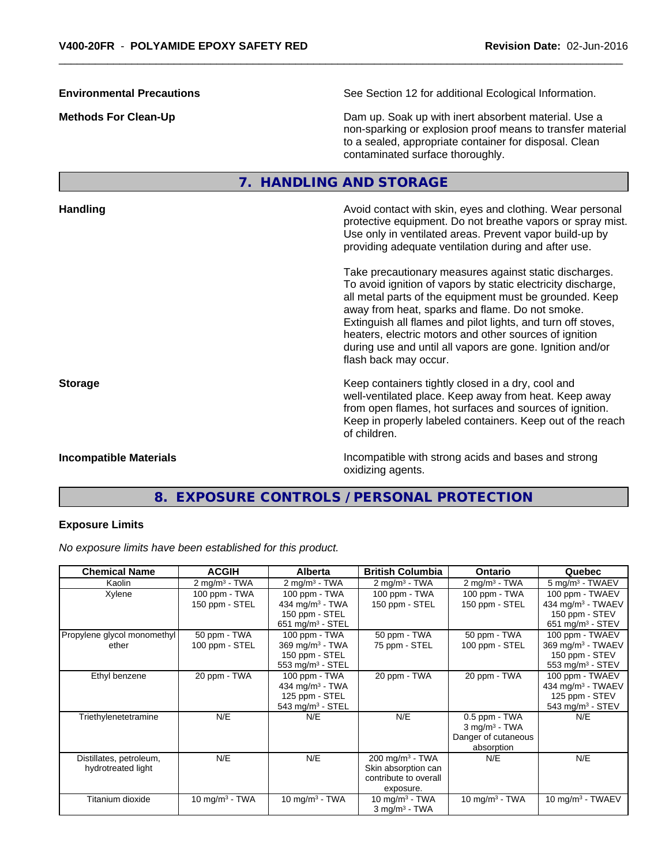non-sparking or explosion proof means to transfer material

to a sealed, appropriate container for disposal. Clean contaminated surface thoroughly. **7. HANDLING AND STORAGE Handling Handling Avoid contact with skin, eyes and clothing. Wear personal and <b>Handling Avoid contact with skin, eyes and clothing. Wear personal** protective equipment. Do not breathe vapors or spray mist. Use only in ventilated areas. Prevent vapor build-up by providing adequate ventilation during and after use. Take precautionary measures against static discharges. To avoid ignition of vapors by static electricity discharge, all metal parts of the equipment must be grounded. Keep away from heat, sparks and flame. Do not smoke. Extinguish all flames and pilot lights, and turn off stoves, heaters, electric motors and other sources of ignition during use and until all vapors are gone. Ignition and/or flash back may occur. **Storage Keep containers tightly closed in a dry, cool and get a dry and structure in a dry and structure in a dry and structure in a dry and structure in a dry and structure in a dry and structure in a dry and structure** well-ventilated place. Keep away from heat. Keep away from open flames, hot surfaces and sources of ignition. Keep in properly labeled containers. Keep out of the reach of children. **Incompatible Materials Incompatible with strong acids and bases and strong** oxidizing agents.

**Environmental Precautions** See Section 12 for additional Ecological Information.

**Methods For Clean-Up Dam up. Soak up with inert absorbent material. Use a** Dam up. Soak up with inert absorbent material. Use a

# **8. EXPOSURE CONTROLS / PERSONAL PROTECTION**

#### **Exposure Limits**

*No exposure limits have been established for this product.*

| <b>Chemical Name</b>        | <b>ACGIH</b>             | <b>Alberta</b>              | <b>British Columbia</b>       | <b>Ontario</b>              | Quebec                        |
|-----------------------------|--------------------------|-----------------------------|-------------------------------|-----------------------------|-------------------------------|
| Kaolin                      | $2 \text{ mg/m}^3$ - TWA | $2$ mg/m <sup>3</sup> - TWA | $2 \text{ mg/m}^3$ - TWA      | $2$ mg/m <sup>3</sup> - TWA | 5 mg/m <sup>3</sup> - TWAEV   |
| Xylene                      | 100 ppm - TWA            | 100 ppm - TWA               | 100 ppm - TWA                 | 100 ppm - TWA               | 100 ppm - TWAEV               |
|                             | 150 ppm - STEL           | 434 mg/m <sup>3</sup> - TWA | 150 ppm - STEL                | 150 ppm - STEL              | 434 mg/m <sup>3</sup> - TWAEV |
|                             |                          | 150 ppm - STEL              |                               |                             | 150 ppm - STEV                |
|                             |                          | 651 mg/m $3 -$ STEL         |                               |                             | 651 mg/m <sup>3</sup> - STEV  |
| Propylene glycol monomethyl | 50 ppm - TWA             | 100 ppm - TWA               | 50 ppm - TWA                  | 50 ppm - TWA                | 100 ppm - TWAEV               |
| ether                       | 100 ppm - STEL           | 369 mg/m <sup>3</sup> - TWA | 75 ppm - STEL                 | 100 ppm - STEL              | 369 mg/m <sup>3</sup> - TWAEV |
|                             |                          | 150 ppm - STEL              |                               |                             | 150 ppm - STEV                |
|                             |                          | 553 mg/m $3$ - STEL         |                               |                             | 553 mg/m <sup>3</sup> - STEV  |
| Ethyl benzene               | 20 ppm - TWA             | 100 ppm - TWA               | 20 ppm - TWA                  | 20 ppm - TWA                | 100 ppm - TWAEV               |
|                             |                          | 434 mg/m $3$ - TWA          |                               |                             | 434 mg/m <sup>3</sup> - TWAEV |
|                             |                          | 125 ppm - STEL              |                               |                             | 125 ppm - STEV                |
|                             |                          | 543 mg/m $3$ - STEL         |                               |                             | 543 mg/m $3 -$ STEV           |
| Triethylenetetramine        | N/E                      | N/E                         | N/E                           | 0.5 ppm - TWA               | N/E                           |
|                             |                          |                             |                               | $3$ mg/m <sup>3</sup> - TWA |                               |
|                             |                          |                             |                               | Danger of cutaneous         |                               |
|                             |                          |                             |                               | absorption                  |                               |
| Distillates, petroleum,     | N/E                      | N/E                         | $200$ mg/m <sup>3</sup> - TWA | N/E                         | N/E                           |
| hydrotreated light          |                          |                             | Skin absorption can           |                             |                               |
|                             |                          |                             | contribute to overall         |                             |                               |
|                             |                          |                             | exposure.                     |                             |                               |
| Titanium dioxide            | 10 mg/m $3$ - TWA        | 10 mg/m $3$ - TWA           | 10 mg/m $3$ - TWA             | 10 mg/m $3$ - TWA           | $10 \text{ mg/m}^3$ - TWAEV   |
|                             |                          |                             | $3$ mg/m <sup>3</sup> - TWA   |                             |                               |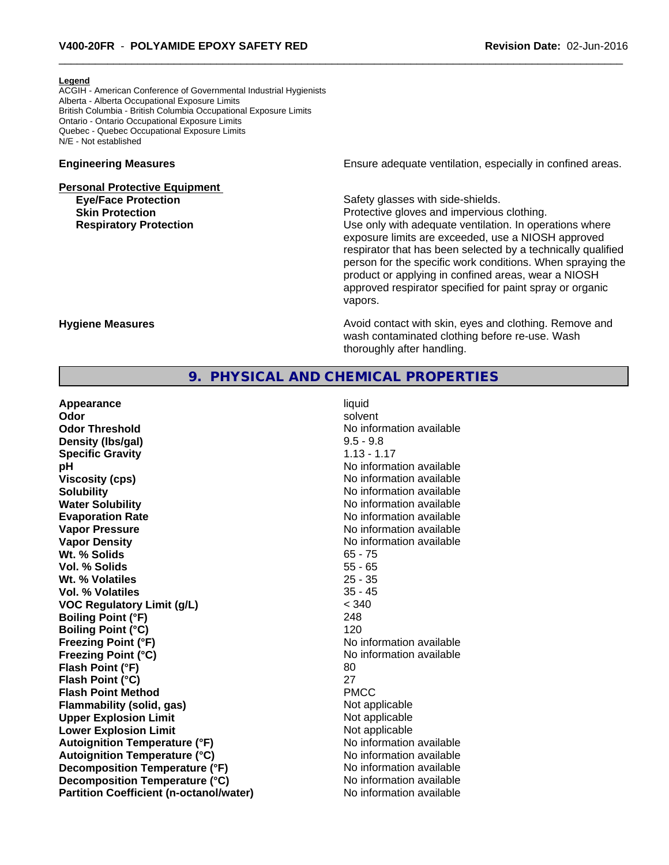#### **Legend**

ACGIH - American Conference of Governmental Industrial Hygienists Alberta - Alberta Occupational Exposure Limits British Columbia - British Columbia Occupational Exposure Limits Ontario - Ontario Occupational Exposure Limits Quebec - Quebec Occupational Exposure Limits N/E - Not established

# **Personal Protective Equipment Eye/Face Protection Safety glasses with side-shields.**

**Engineering Measures Ensure** Ensure adequate ventilation, especially in confined areas.

**Skin Protection Protection Protective gloves and impervious clothing. Respiratory Protection Network 1** and the Use only with adequate ventilation. In operations where exposure limits are exceeded, use a NIOSH approved respirator that has been selected by a technically qualified person for the specific work conditions. When spraying the product or applying in confined areas, wear a NIOSH approved respirator specified for paint spray or organic vapors.

**Hygiene Measures Avoid contact with skin, eyes and clothing. Remove and Avoid contact with skin, eyes and clothing. Remove and Avoid contact with skin, eyes and clothing. Remove and** wash contaminated clothing before re-use. Wash thoroughly after handling.

### **9. PHYSICAL AND CHEMICAL PROPERTIES**

| Appearance                                     | liquid                   |
|------------------------------------------------|--------------------------|
| Odor                                           | solvent                  |
| <b>Odor Threshold</b>                          | No information available |
| Density (Ibs/gal)                              | $9.5 - 9.8$              |
| <b>Specific Gravity</b>                        | $1.13 - 1.17$            |
| рH                                             | No information available |
| <b>Viscosity (cps)</b>                         | No information available |
| <b>Solubility</b>                              | No information available |
| <b>Water Solubility</b>                        | No information available |
| <b>Evaporation Rate</b>                        | No information available |
| <b>Vapor Pressure</b>                          | No information available |
| <b>Vapor Density</b>                           | No information available |
| Wt. % Solids                                   | $65 - 75$                |
| Vol. % Solids                                  | $55 - 65$                |
| Wt. % Volatiles                                | $25 - 35$                |
| Vol. % Volatiles                               | $35 - 45$                |
| <b>VOC Regulatory Limit (g/L)</b>              | < 340                    |
| <b>Boiling Point (°F)</b>                      | 248                      |
| <b>Boiling Point (°C)</b>                      | 120                      |
| <b>Freezing Point (°F)</b>                     | No information available |
| <b>Freezing Point (°C)</b>                     | No information available |
| Flash Point (°F)                               | 80                       |
| Flash Point (°C)                               | 27                       |
| <b>Flash Point Method</b>                      | <b>PMCC</b>              |
| <b>Flammability (solid, gas)</b>               | Not applicable           |
| <b>Upper Explosion Limit</b>                   | Not applicable           |
| <b>Lower Explosion Limit</b>                   | Not applicable           |
| <b>Autoignition Temperature (°F)</b>           | No information available |
| <b>Autoignition Temperature (°C)</b>           | No information available |
| Decomposition Temperature (°F)                 | No information available |
| Decomposition Temperature (°C)                 | No information available |
| <b>Partition Coefficient (n-octanol/water)</b> | No information available |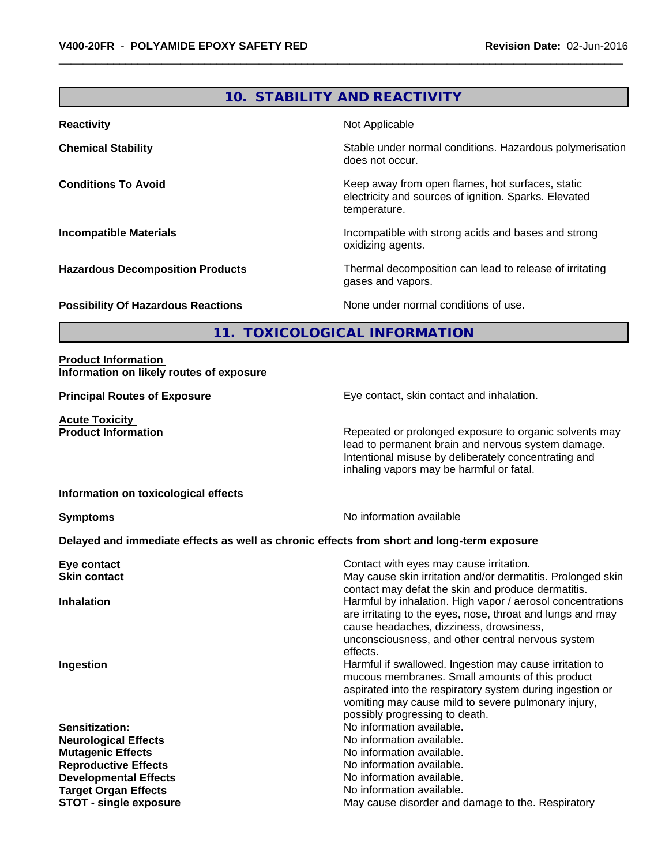# **10. STABILITY AND REACTIVITY**

| <b>Reactivity</b>                         | Not Applicable                                                                                                            |
|-------------------------------------------|---------------------------------------------------------------------------------------------------------------------------|
| <b>Chemical Stability</b>                 | Stable under normal conditions. Hazardous polymerisation<br>does not occur.                                               |
| <b>Conditions To Avoid</b>                | Keep away from open flames, hot surfaces, static<br>electricity and sources of ignition. Sparks. Elevated<br>temperature. |
| <b>Incompatible Materials</b>             | Incompatible with strong acids and bases and strong<br>oxidizing agents.                                                  |
| <b>Hazardous Decomposition Products</b>   | Thermal decomposition can lead to release of irritating<br>gases and vapors.                                              |
| <b>Possibility Of Hazardous Reactions</b> | None under normal conditions of use.                                                                                      |

**11. TOXICOLOGICAL INFORMATION**

#### **Product Information Information on likely routes of exposure**

**Acute Toxicity<br>Product Information** 

**Principal Routes of Exposure Exposure** Eye contact, skin contact and inhalation.

Repeated or prolonged exposure to organic solvents may lead to permanent brain and nervous system damage. Intentional misuse by deliberately concentrating and inhaling vapors may be harmful or fatal.

#### **Information on toxicological effects**

**Symptoms** No information available

### **Delayed and immediate effects as well as chronic effects from short and long-term exposure**

| Eye contact                   | Contact with eyes may cause irritation.                                                                          |
|-------------------------------|------------------------------------------------------------------------------------------------------------------|
| <b>Skin contact</b>           | May cause skin irritation and/or dermatitis. Prolonged skin                                                      |
|                               | contact may defat the skin and produce dermatitis.<br>Harmful by inhalation. High vapor / aerosol concentrations |
| <b>Inhalation</b>             | are irritating to the eyes, nose, throat and lungs and may                                                       |
|                               | cause headaches, dizziness, drowsiness,                                                                          |
|                               | unconsciousness, and other central nervous system                                                                |
|                               | effects.                                                                                                         |
| Ingestion                     | Harmful if swallowed. Ingestion may cause irritation to                                                          |
|                               | mucous membranes. Small amounts of this product                                                                  |
|                               | aspirated into the respiratory system during ingestion or                                                        |
|                               | vomiting may cause mild to severe pulmonary injury,                                                              |
|                               | possibly progressing to death.                                                                                   |
| <b>Sensitization:</b>         | No information available.                                                                                        |
| <b>Neurological Effects</b>   | No information available.                                                                                        |
| <b>Mutagenic Effects</b>      | No information available.                                                                                        |
| <b>Reproductive Effects</b>   | No information available.                                                                                        |
| <b>Developmental Effects</b>  | No information available.                                                                                        |
| <b>Target Organ Effects</b>   | No information available.                                                                                        |
| <b>STOT - single exposure</b> | May cause disorder and damage to the. Respiratory                                                                |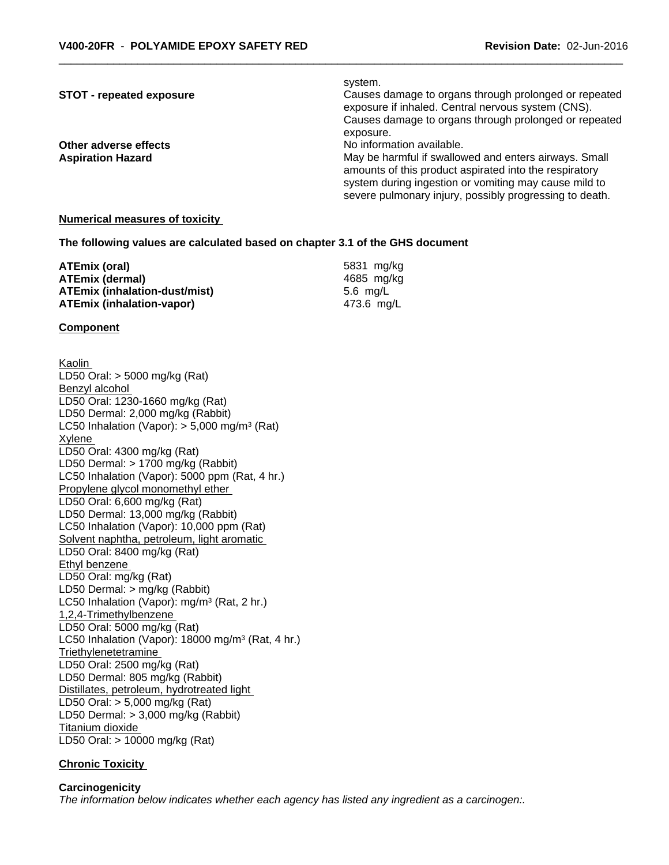#### system.

**STOT - repeated exposure** *Causes damage to organs through prolonged or repeated* exposure if inhaled. Central nervous system (CNS). Causes damage to organs through prolonged or repeated exposure.

**Other adverse effects** No information available.

**Aspiration Hazard** May be harmful if swallowed and enters airways. Small amounts of this product aspirated into the respiratory system during ingestion or vomiting may cause mild to severe pulmonary injury, possibly progressing to death.

#### **Numerical measures of toxicity**

#### **The following values are calculated based on chapter 3.1 of the GHS document**

| ATEmix (oral)                 | 5831 mg/ka |
|-------------------------------|------------|
| <b>ATEmix (dermal)</b>        | 4685 mg/ka |
| ATEmix (inhalation-dust/mist) | 5.6 ma/L   |
| ATEmix (inhalation-vapor)     | 473.6 ma/L |

#### **Component**

Kaolin LD50 Oral: > 5000 mg/kg (Rat) Benzyl alcohol LD50 Oral: 1230-1660 mg/kg (Rat) LD50 Dermal: 2,000 mg/kg (Rabbit) LC50 Inhalation (Vapor): > 5,000 mg/m<sup>3</sup> (Rat) Xylene LD50 Oral: 4300 mg/kg (Rat) LD50 Dermal: > 1700 mg/kg (Rabbit) LC50 Inhalation (Vapor): 5000 ppm (Rat, 4 hr.) Propylene glycol monomethyl ether LD50 Oral: 6,600 mg/kg (Rat) LD50 Dermal: 13,000 mg/kg (Rabbit) LC50 Inhalation (Vapor): 10,000 ppm (Rat) Solvent naphtha, petroleum, light aromatic LD50 Oral: 8400 mg/kg (Rat) Ethyl benzene LD50 Oral: mg/kg (Rat) LD50 Dermal: > mg/kg (Rabbit) LC50 Inhalation (Vapor): mg/m<sup>3</sup> (Rat, 2 hr.) 1,2,4-Trimethylbenzene LD50 Oral: 5000 mg/kg (Rat) LC50 Inhalation (Vapor): 18000 mg/m<sup>3</sup> (Rat, 4 hr.) **Triethylenetetramine** LD50 Oral: 2500 mg/kg (Rat) LD50 Dermal: 805 mg/kg (Rabbit) Distillates, petroleum, hydrotreated light LD50 Oral: > 5,000 mg/kg (Rat) LD50 Dermal: > 3,000 mg/kg (Rabbit) Titanium dioxide LD50 Oral: > 10000 mg/kg (Rat)

#### **Chronic Toxicity**

#### **Carcinogenicity** *The information below indicateswhether each agency has listed any ingredient as a carcinogen:.*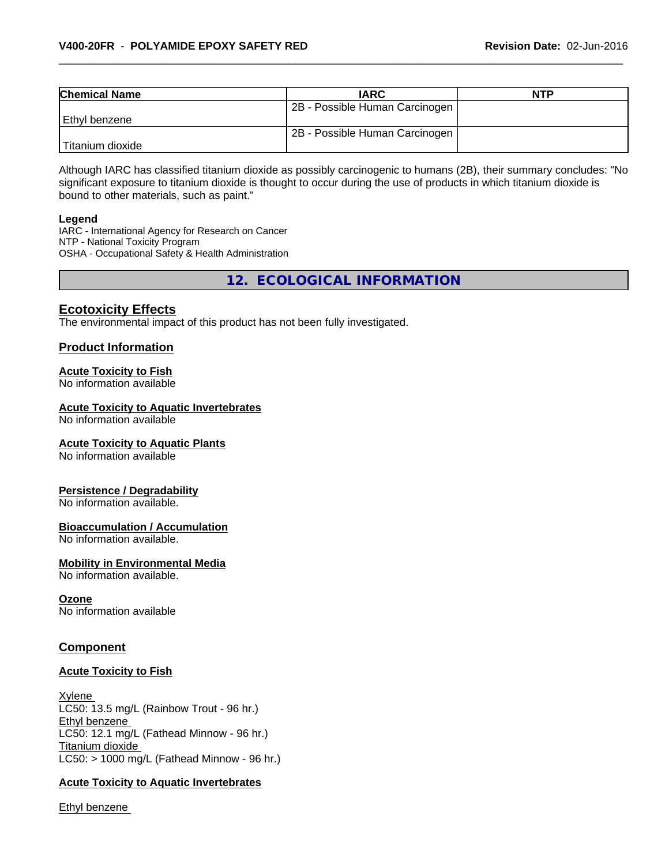| <b>Chemical Name</b> | <b>IARC</b>                    | <b>NTP</b> |
|----------------------|--------------------------------|------------|
|                      | 2B - Possible Human Carcinogen |            |
| Ethyl benzene        |                                |            |
|                      | 2B - Possible Human Carcinogen |            |
| Titanium dioxide     |                                |            |

Although IARC has classified titanium dioxide as possibly carcinogenic to humans (2B), their summary concludes: "No significant exposure to titanium dioxide is thought to occur during the use of products in which titanium dioxide is bound to other materials, such as paint."

#### **Legend**

IARC - International Agency for Research on Cancer NTP - National Toxicity Program OSHA - Occupational Safety & Health Administration

**12. ECOLOGICAL INFORMATION**

### **Ecotoxicity Effects**

The environmental impact of this product has not been fully investigated.

#### **Product Information**

#### **Acute Toxicity to Fish**

No information available

#### **Acute Toxicity to Aquatic Invertebrates**

No information available

#### **Acute Toxicity to Aquatic Plants**

No information available

#### **Persistence / Degradability**

No information available.

#### **Bioaccumulation / Accumulation**

No information available.

#### **Mobility in Environmental Media**

No information available.

#### **Ozone**

No information available

#### **Component**

#### **Acute Toxicity to Fish**

Xylene LC50: 13.5 mg/L (Rainbow Trout - 96 hr.) Ethyl benzene LC50: 12.1 mg/L (Fathead Minnow - 96 hr.) Titanium dioxide  $LC50:$  > 1000 mg/L (Fathead Minnow - 96 hr.)

#### **Acute Toxicity to Aquatic Invertebrates**

Ethyl benzene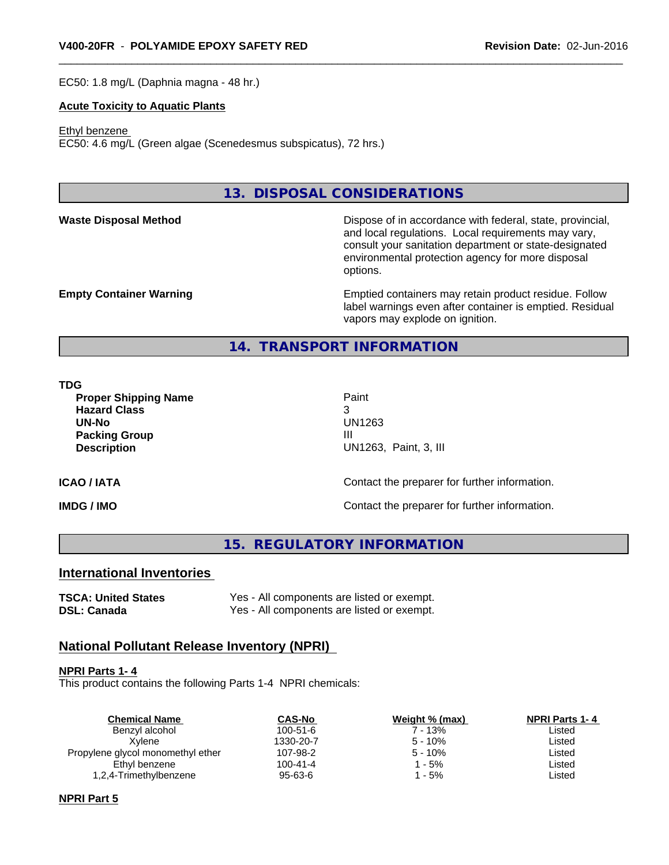EC50: 1.8 mg/L (Daphnia magna - 48 hr.)

#### **Acute Toxicity to Aquatic Plants**

#### Ethyl benzene

EC50: 4.6 mg/L (Green algae (Scenedesmus subspicatus), 72 hrs.)

# **13. DISPOSAL CONSIDERATIONS**

**Waste Disposal Method** Dispose of in accordance with federal, state, provincial, and local regulations. Local requirements may vary, consult your sanitation department or state-designated environmental protection agency for more disposal options.

**Empty Container Warning <b>Emptied** Containers may retain product residue. Follow label warnings even after container is emptied. Residual vapors may explode on ignition.

#### **14. TRANSPORT INFORMATION**

#### **TDG**

**Proper Shipping Name Paint Hazard Class** 3 **UN-No** UN1263 **Packing Group III Description** UN1263, Paint, 3, III

#### **ICAO / IATA ICAO / IATA Contact the preparer for further information.**

**IMDG / IMO IMO Contact the preparer for further information.** 

#### **15. REGULATORY INFORMATION**

#### **International Inventories**

**TSCA: United States** Yes - All components are listed or exempt. **DSL: Canada** Yes - All components are listed or exempt.

#### **National Pollutant Release Inventory (NPRI)**

#### **NPRI Parts 1- 4**

This product contains the following Parts 1-4 NPRI chemicals:

| <b>Chemical Name</b>              | <b>CAS-No</b>  | Weight % (max) | <b>NPRI Parts 1-4</b> |
|-----------------------------------|----------------|----------------|-----------------------|
| Benzyl alcohol                    | $100 - 51 - 6$ | 7 - 13%        | Listed                |
| Xvlene                            | 1330-20-7      | $5 - 10%$      | Listed                |
| Propylene glycol monomethyl ether | 107-98-2       | $5 - 10%$      | Listed                |
| Ethyl benzene                     | $100 - 41 - 4$ | - 5%           | Listed                |
| 1,2,4-Trimethylbenzene            | 95-63-6        | - 5%           | Listed                |
|                                   |                |                |                       |

#### **NPRI Part 5**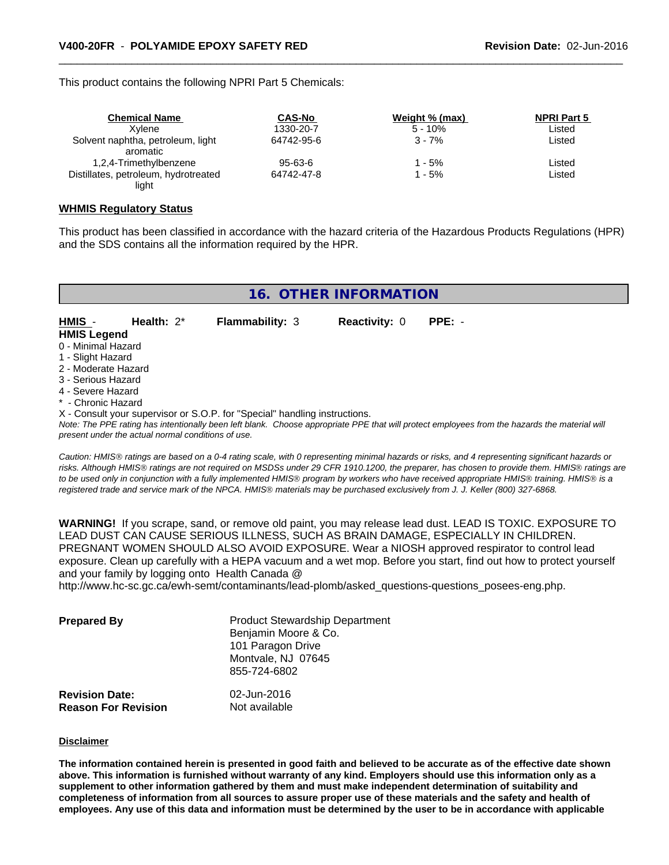This product contains the following NPRI Part 5 Chemicals:

| <b>Chemical Name</b>                 | <b>CAS-No</b> | Weight % (max) | <b>NPRI Part 5</b> |  |
|--------------------------------------|---------------|----------------|--------------------|--|
| Xvlene                               | 1330-20-7     | $5 - 10%$      | Listed             |  |
| Solvent naphtha, petroleum, light    | 64742-95-6    | $3 - 7%$       | Listed             |  |
| aromatic                             |               |                |                    |  |
| 1,2,4-Trimethylbenzene               | $95 - 63 - 6$ | 1 - 5%         | Listed             |  |
| Distillates, petroleum, hydrotreated | 64742-47-8    | l - 5%         | Listed             |  |
| light                                |               |                |                    |  |

#### **WHMIS Regulatory Status**

This product has been classified in accordance with the hazard criteria of the Hazardous Products Regulations (HPR) and the SDS contains all the information required by the HPR.

| 16. OTHER INFORMATION |
|-----------------------|
|-----------------------|

**Flammability: 3 Reactivity: 0 PPE: -**

| HMIS -             | Health: $2^*$ | <b>Flamma</b> |
|--------------------|---------------|---------------|
| <b>HMIS Legend</b> |               |               |

0 - Minimal Hazard

1 - Slight Hazard

2 - Moderate Hazard

3 - Serious Hazard

4 - Severe Hazard

**- Chronic Hazard** 

X - Consult your supervisor or S.O.P. for "Special" handling instructions.

*Note: The PPE rating has intentionally been left blank. Choose appropriate PPE that will protect employees from the hazards the material will present under the actual normal conditions of use.*

*Caution: HMISÒ ratings are based on a 0-4 rating scale, with 0 representing minimal hazards or risks, and 4 representing significant hazards or risks. Although HMISÒ ratings are not required on MSDSs under 29 CFR 1910.1200, the preparer, has chosen to provide them. HMISÒ ratings are to be used only in conjunction with a fully implemented HMISÒ program by workers who have received appropriate HMISÒ training. HMISÒ is a registered trade and service mark of the NPCA. HMISÒ materials may be purchased exclusively from J. J. Keller (800) 327-6868.*

**WARNING!** If you scrape, sand, or remove old paint, you may release lead dust. LEAD IS TOXIC. EXPOSURE TO LEAD DUST CAN CAUSE SERIOUS ILLNESS, SUCH AS BRAIN DAMAGE, ESPECIALLY IN CHILDREN. PREGNANT WOMEN SHOULD ALSO AVOID EXPOSURE.Wear a NIOSH approved respirator to control lead exposure. Clean up carefully with a HEPA vacuum and a wet mop. Before you start, find out how to protect yourself and your family by logging onto Health Canada @

http://www.hc-sc.gc.ca/ewh-semt/contaminants/lead-plomb/asked\_questions-questions\_posees-eng.php.

| <b>Prepared By</b>                                  | <b>Product Stewardship Department</b><br>Benjamin Moore & Co.<br>101 Paragon Drive<br>Montvale, NJ 07645<br>855-724-6802 |  |
|-----------------------------------------------------|--------------------------------------------------------------------------------------------------------------------------|--|
| <b>Revision Date:</b><br><b>Reason For Revision</b> | 02-Jun-2016<br>Not available                                                                                             |  |

#### **Disclaimer**

The information contained herein is presented in good faith and believed to be accurate as of the effective date shown above. This information is furnished without warranty of any kind. Employers should use this information only as a **supplement to other information gathered by them and must make independent determination of suitability and** completeness of information from all sources to assure proper use of these materials and the safety and health of employees. Any use of this data and information must be determined by the user to be in accordance with applicable